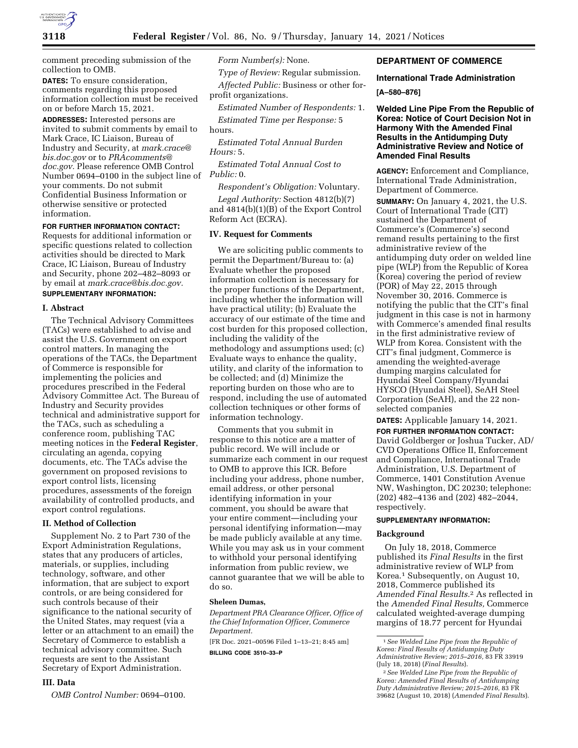

comment preceding submission of the collection to OMB.

**DATES:** To ensure consideration, comments regarding this proposed information collection must be received on or before March 15, 2021.

**ADDRESSES:** Interested persons are invited to submit comments by email to Mark Crace, IC Liaison, Bureau of Industry and Security, at *[mark.crace@](mailto:mark.crace@bis.doc.gov) [bis.doc.gov](mailto:mark.crace@bis.doc.gov)* or to *[PRAcomments@](mailto:PRAcomments@doc.gov) [doc.gov.](mailto:PRAcomments@doc.gov)* Please reference OMB Control Number 0694–0100 in the subject line of *Public:* 0. your comments. Do not submit Confidential Business Information or otherwise sensitive or protected information.

# **FOR FURTHER INFORMATION CONTACT:**

Requests for additional information or specific questions related to collection activities should be directed to Mark Crace, IC Liaison, Bureau of Industry and Security, phone 202–482–8093 or by email at *[mark.crace@bis.doc.gov.](mailto:mark.crace@bis.doc.gov)* 

# **SUPPLEMENTARY INFORMATION:**

#### **I. Abstract**

The Technical Advisory Committees (TACs) were established to advise and assist the U.S. Government on export control matters. In managing the operations of the TACs, the Department of Commerce is responsible for implementing the policies and procedures prescribed in the Federal Advisory Committee Act. The Bureau of Industry and Security provides technical and administrative support for the TACs, such as scheduling a conference room, publishing TAC meeting notices in the **Federal Register**, circulating an agenda, copying documents, etc. The TACs advise the government on proposed revisions to export control lists, licensing procedures, assessments of the foreign availability of controlled products, and export control regulations.

# **II. Method of Collection**

Supplement No. 2 to Part 730 of the Export Administration Regulations, states that any producers of articles, materials, or supplies, including technology, software, and other information, that are subject to export controls, or are being considered for such controls because of their significance to the national security of the United States, may request (via a letter or an attachment to an email) the Secretary of Commerce to establish a technical advisory committee. Such requests are sent to the Assistant Secretary of Export Administration.

# **III. Data**

*OMB Control Number:* 0694–0100.

*Form Number(s):* None.

*Type of Review:* Regular submission. *Affected Public:* Business or other forprofit organizations.

*Estimated Number of Respondents:* 1. *Estimated Time per Response:* 5 hours.

*Estimated Total Annual Burden Hours:* 5.

*Estimated Total Annual Cost to* 

*Respondent's Obligation:* Voluntary.

*Legal Authority:* Section 4812(b)(7) and 4814(b)(1)(B) of the Export Control Reform Act (ECRA).

## **IV. Request for Comments**

We are soliciting public comments to permit the Department/Bureau to: (a) Evaluate whether the proposed information collection is necessary for the proper functions of the Department, including whether the information will have practical utility; (b) Evaluate the accuracy of our estimate of the time and cost burden for this proposed collection, including the validity of the methodology and assumptions used; (c) Evaluate ways to enhance the quality, utility, and clarity of the information to be collected; and (d) Minimize the reporting burden on those who are to respond, including the use of automated collection techniques or other forms of information technology.

Comments that you submit in response to this notice are a matter of public record. We will include or summarize each comment in our request to OMB to approve this ICR. Before including your address, phone number, email address, or other personal identifying information in your comment, you should be aware that your entire comment—including your personal identifying information—may be made publicly available at any time. While you may ask us in your comment to withhold your personal identifying information from public review, we cannot guarantee that we will be able to do so.

#### **Sheleen Dumas,**

*Department PRA Clearance Officer, Office of the Chief Information Officer, Commerce Department.* 

[FR Doc. 2021–00596 Filed 1–13–21; 8:45 am] **BILLING CODE 3510–33–P** 

# **DEPARTMENT OF COMMERCE**

**International Trade Administration [A–580–876]** 

**Welded Line Pipe From the Republic of Korea: Notice of Court Decision Not in Harmony With the Amended Final Results in the Antidumping Duty Administrative Review and Notice of Amended Final Results** 

**AGENCY:** Enforcement and Compliance, International Trade Administration, Department of Commerce.

**SUMMARY:** On January 4, 2021, the U.S. Court of International Trade (CIT) sustained the Department of Commerce's (Commerce's) second remand results pertaining to the first administrative review of the antidumping duty order on welded line pipe (WLP) from the Republic of Korea (Korea) covering the period of review (POR) of May 22, 2015 through November 30, 2016. Commerce is notifying the public that the CIT's final judgment in this case is not in harmony with Commerce's amended final results in the first administrative review of WLP from Korea. Consistent with the CIT's final judgment, Commerce is amending the weighted-average dumping margins calculated for Hyundai Steel Company/Hyundai HYSCO (Hyundai Steel), SeAH Steel Corporation (SeAH), and the 22 nonselected companies

**DATES:** Applicable January 14, 2021.

**FOR FURTHER INFORMATION CONTACT:**  David Goldberger or Joshua Tucker, AD/ CVD Operations Office II, Enforcement and Compliance, International Trade Administration, U.S. Department of Commerce, 1401 Constitution Avenue NW, Washington, DC 20230; telephone: (202) 482–4136 and (202) 482–2044, respectively.

#### **SUPPLEMENTARY INFORMATION:**

### **Background**

On July 18, 2018, Commerce published its *Final Results* in the first administrative review of WLP from Korea.1 Subsequently, on August 10, 2018, Commerce published its *Amended Final Results.*2 As reflected in the *Amended Final Results,* Commerce calculated weighted-average dumping margins of 18.77 percent for Hyundai

<sup>1</sup>*See Welded Line Pipe from the Republic of Korea: Final Results of Antidumping Duty Administrative Review; 2015–2016,* 83 FR 33919 (July 18, 2018) (*Final Results*).

<sup>2</sup>*See Welded Line Pipe from the Republic of Korea: Amended Final Results of Antidumping Duty Administrative Review; 2015–2016,* 83 FR 39682 (August 10, 2018) (*Amended Final Results*).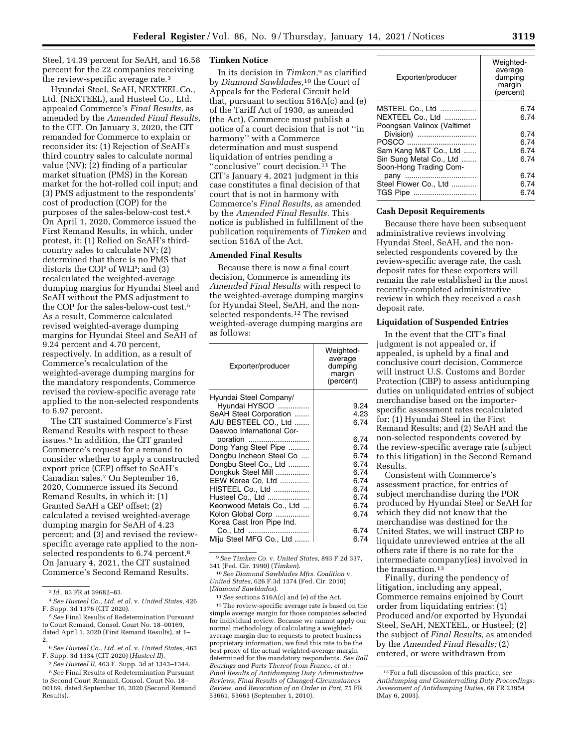Steel, 14.39 percent for SeAH, and 16.58 percent for the 22 companies receiving the review-specific average rate.3

Hyundai Steel, SeAH, NEXTEEL Co., Ltd. (NEXTEEL), and Husteel Co., Ltd. appealed Commerce's *Final Results,* as amended by the *Amended Final Results,*  to the CIT. On January 3, 2020, the CIT remanded for Commerce to explain or reconsider its: (1) Rejection of SeAH's third country sales to calculate normal value (NV); (2) finding of a particular market situation (PMS) in the Korean market for the hot-rolled coil input; and (3) PMS adjustment to the respondents' cost of production (COP) for the purposes of the sales-below-cost test.4 On April 1, 2020, Commerce issued the First Remand Results, in which, under protest, it: (1) Relied on SeAH's thirdcountry sales to calculate NV; (2) determined that there is no PMS that distorts the COP of WLP; and (3) recalculated the weighted-average dumping margins for Hyundai Steel and SeAH without the PMS adjustment to the COP for the sales-below-cost test.5 As a result, Commerce calculated revised weighted-average dumping margins for Hyundai Steel and SeAH of 9.24 percent and 4.70 percent, respectively. In addition, as a result of Commerce's recalculation of the weighted-average dumping margins for the mandatory respondents, Commerce revised the review-specific average rate applied to the non-selected respondents to 6.97 percent.

The CIT sustained Commerce's First Remand Results with respect to these issues.6 In addition, the CIT granted Commerce's request for a remand to consider whether to apply a constructed export price (CEP) offset to SeAH's Canadian sales.7 On September 16, 2020, Commerce issued its Second Remand Results, in which it: (1) Granted SeAH a CEP offset; (2) calculated a revised weighted-average dumping margin for SeAH of 4.23 percent; and (3) and revised the reviewspecific average rate applied to the nonselected respondents to 6.74 percent.<sup>8</sup> On January 4, 2021, the CIT sustained Commerce's Second Remand Results.

#### **Timken Notice**

In its decision in *Timken,*9 as clarified by *Diamond Sawblades,*10 the Court of Appeals for the Federal Circuit held that, pursuant to section 516A(c) and (e) of the Tariff Act of 1930, as amended (the Act), Commerce must publish a notice of a court decision that is not ''in harmony'' with a Commerce determination and must suspend liquidation of entries pending a "conclusive" court decision.<sup>11</sup> The CIT's January 4, 2021 judgment in this case constitutes a final decision of that court that is not in harmony with Commerce's *Final Results,* as amended by the *Amended Final Results.* This notice is published in fulfillment of the publication requirements of *Timken* and section 516A of the Act.

# **Amended Final Results**

Because there is now a final court decision, Commerce is amending its *Amended Final Results* with respect to the weighted-average dumping margins for Hyundai Steel, SeAH, and the nonselected respondents.12 The revised weighted-average dumping margins are as follows:

| Exporter/producer         | Weighted-<br>average<br>dumping<br>margin<br>(percent) |
|---------------------------|--------------------------------------------------------|
| Hyundai Steel Company/    |                                                        |
| Hyundai HYSCO             | 9.24                                                   |
| SeAH Steel Corporation    | 4.23                                                   |
| AJU BESTEEL CO., Ltd      | 6.74                                                   |
| Daewoo International Cor- |                                                        |
| poration                  | 6.74                                                   |
| Dong Yang Steel Pipe      | 6.74                                                   |
| Dongbu Incheon Steel Co   | 6.74                                                   |
| Dongbu Steel Co., Ltd     | 6.74                                                   |
| Dongkuk Steel Mill        | 6.74                                                   |
| EEW Korea Co, Ltd         | 6.74                                                   |
| HISTEEL Co., Ltd          | 6.74                                                   |
| Husteel Co., Ltd          | 6.74                                                   |
| Keonwood Metals Co., Ltd  | 6.74                                                   |
| Kolon Global Corp         | 6.74                                                   |
| Korea Cast Iron Pipe Ind. |                                                        |
| Co., Ltd                  | 6.74                                                   |
| Miju Steel MFG Co., Ltd   | 6.74                                                   |

9*See Timken Co.* v. *United States,* 893 F.2d 337, 341 (Fed. Cir. 1990) (*Timken*).

10*See Diamond Sawblades Mfrs. Coalition* v. *United States,* 626 F.3d 1374 (Fed. Cir. 2010) (*Diamond Sawblades*).

11*See* sections 516A(c) and (e) of the Act.

<sup>12</sup> The review-specific average rate is based on the simple average margin for those companies selected for individual review. Because we cannot apply our normal methodology of calculating a weightedaverage margin due to requests to protect business proprietary information, we find this rate to be the best proxy of the actual weighted-average margin determined for the mandatory respondents. *See Ball Bearings and Parts Thereof from France, et al.: Final Results of Antidumping Duty Administrative Reviews, Final Results of Changed-Circumstances Review, and Revocation of an Order in Part,* 75 FR 53661, 53663 (September 1, 2010).

| Exporter/producer                                                 | Weighted-<br>average<br>dumping<br>margin<br>(percent) |
|-------------------------------------------------------------------|--------------------------------------------------------|
| MSTEEL Co., Ltd<br>NEXTEEL Co., Ltd<br>Poongsan Valinox (Valtimet | 6.74<br>6.74                                           |
| Division)                                                         | 6.74                                                   |
| POSCO                                                             | 6.74                                                   |
| Sam Kang M&T Co., Ltd                                             | 6.74                                                   |
| Sin Sung Metal Co., Ltd<br>Soon-Hong Trading Com-                 | 6.74                                                   |
| pany                                                              | 6.74                                                   |
| Steel Flower Co., Ltd                                             | 6.74                                                   |
|                                                                   | 6.74                                                   |
|                                                                   |                                                        |

#### **Cash Deposit Requirements**

Because there have been subsequent administrative reviews involving Hyundai Steel, SeAH, and the nonselected respondents covered by the review-specific average rate, the cash deposit rates for these exporters will remain the rate established in the most recently-completed administrative review in which they received a cash deposit rate.

# **Liquidation of Suspended Entries**

In the event that the CIT's final judgment is not appealed or, if appealed, is upheld by a final and conclusive court decision, Commerce will instruct U.S. Customs and Border Protection (CBP) to assess antidumping duties on unliquidated entries of subject merchandise based on the importerspecific assessment rates recalculated for: (1) Hyundai Steel in the First Remand Results; and (2) SeAH and the non-selected respondents covered by the review-specific average rate (subject to this litigation) in the Second Remand Results.

Consistent with Commerce's assessment practice, for entries of subject merchandise during the POR produced by Hyundai Steel or SeAH for which they did not know that the merchandise was destined for the United States, we will instruct CBP to liquidate unreviewed entries at the all others rate if there is no rate for the intermediate company(ies) involved in the transaction.13

Finally, during the pendency of litigation, including any appeal, Commerce remains enjoined by Court order from liquidating entries: (1) Produced and/or exported by Hyundai Steel, SeAH, NEXTEEL, or Husteel; (2) the subject of *Final Results,* as amended by the *Amended Final Results;* (2) entered, or were withdrawn from

<sup>3</sup> *Id.,* 83 FR at 39682–83.

<sup>4</sup>*See Husteel Co., Ltd. et al.* v. *United States,* 426 F. Supp. 3d 1376 (CIT 2020).

<sup>5</sup>*See* Final Results of Redetermination Pursuant to Court Remand, Consol. Court No. 18–00169, dated April 1, 2020 (First Remand Results), at 1– 2.

<sup>6</sup>*See Husteel Co., Ltd. et al.* v. *United States,* 463 F. Supp. 3d 1334 (CIT 2020) (*Husteel II*).

<sup>7</sup>*See Husteel II,* 463 F. Supp. 3d at 1343–1344. 8*See* Final Results of Redetermination Pursuant to Second Court Remand, Consol. Court No. 18– 00169, dated September 16, 2020 (Second Remand Results).

<sup>13</sup>For a full discussion of this practice, *see Antidumping and Countervailing Duty Proceedings: Assessment of Antidumping Duties,* 68 FR 23954 (May 6, 2003).